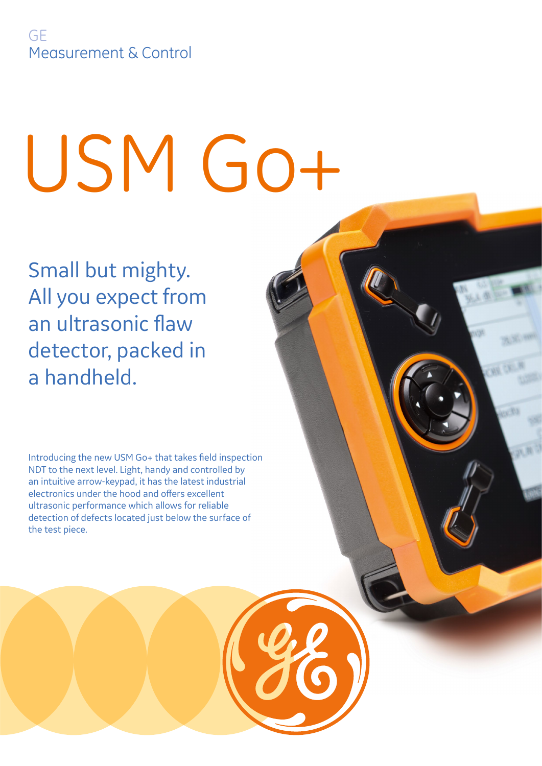# USM Go+

Small but mighty. All you expect from an ultrasonic flaw detector, packed in a handheld.

Introducing the new USM Go+ that takes field inspection NDT to the next level. Light, handy and controlled by an intuitive arrow-keypad, it has the latest industrial electronics under the hood and offers excellent ultrasonic performance which allows for reliable detection of defects located just below the surface of the test piece.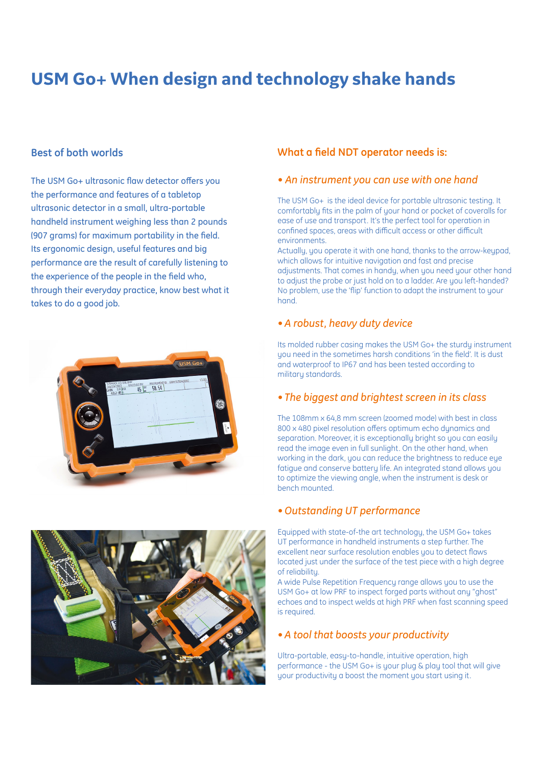# **USM Go+ When design and technology shake hands**

### **Best of both worlds**

The USM Go+ ultrasonic flaw detector offers you the performance and features of a tabletop ultrasonic detector in a small, ultra-portable handheld instrument weighing less than 2 pounds (907 grams) for maximum portability in the field. Its ergonomic design, useful features and big performance are the result of carefully listening to the experience of the people in the field who, through their everyday practice, know best what it takes to do a good job.





### **What a field NDT operator needs is:**

### *• An instrument you can use with one hand*

The USM Go+ is the ideal device for portable ultrasonic testing. It comfortably fits in the palm of your hand or pocket of coveralls for ease of use and transport. It's the perfect tool for operation in confined spaces, areas with difficult access or other difficult environments.

Actually, you operate it with one hand, thanks to the arrow-keypad, which allows for intuitive navigation and fast and precise adjustments. That comes in handy, when you need your other hand to adjust the probe or just hold on to a ladder. Are you left-handed? No problem, use the 'flip' function to adapt the instrument to your hand.

### *• A robust, heavy duty device*

Its molded rubber casing makes the USM Go+ the sturdy instrument you need in the sometimes harsh conditions 'in the field'. It is dust and waterproof to IP67 and has been tested according to military standards.

### *• The biggest and brightest screen in its class*

The 108mm x 64,8 mm screen (zoomed mode) with best in class 800 x 480 pixel resolution offers optimum echo dynamics and separation. Moreover, it is exceptionally bright so you can easily read the image even in full sunlight. On the other hand, when working in the dark, you can reduce the brightness to reduce eye fatigue and conserve battery life. An integrated stand allows you to optimize the viewing angle, when the instrument is desk or bench mounted.

### *• Outstanding UT performance*

Equipped with state-of-the art technology, the USM Go+ takes UT performance in handheld instruments a step further. The excellent near surface resolution enables you to detect flaws located just under the surface of the test piece with a high degree of reliability.

A wide Pulse Repetition Frequency range allows you to use the USM Go+ at low PRF to inspect forged parts without any "ghost" echoes and to inspect welds at high PRF when fast scanning speed is required.

### *• A tool that boosts your productivity*

Ultra-portable, easy-to-handle, intuitive operation, high performance - the USM Go+ is your plug & play tool that will give your productivity a boost the moment you start using it.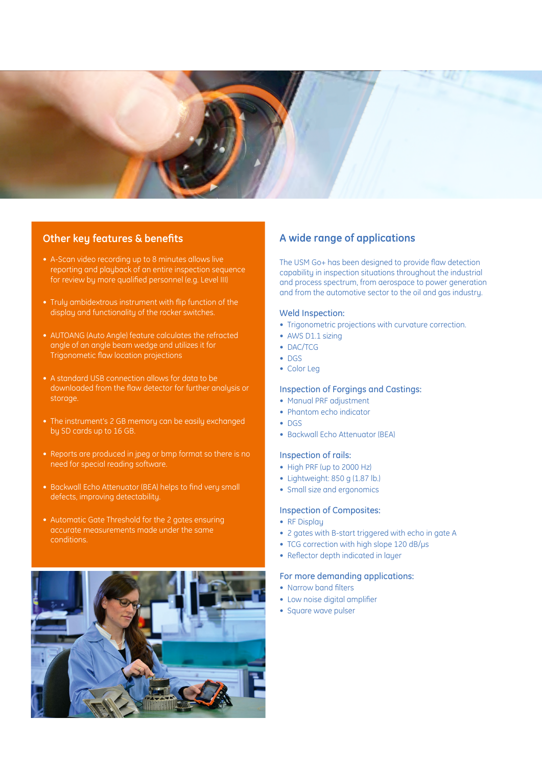

### **Other key features & benefits**

- A-Scan video recording up to 8 minutes allows live reporting and playback of an entire inspection sequence for review by more qualified personnel (e.g. Level III)
- Truly ambidextrous instrument with flip function of the display and functionality of the rocker switches.
- AUTOANG (Auto Angle) feature calculates the refracted angle of an angle beam wedge and utilizes it for Trigonometic flaw location projections
- A standard USB connection allows for data to be downloaded from the flaw detector for further analysis or storage.
- The instrument's 2 GB memory can be easily exchanged by SD cards up to 16 GB.
- at so there is no<br>
High PRF (up to 2000 Hz)<br>
Lightweight: 850 g (1.87 lb.)<br>
Creatly sing and acceptance • Reports are produced in jpeg or bmp format so there is no need for special reading software.
- Backwall Echo Attenuator (BEA) helps to find very small defects, improving detectability.
- Automatic Gate Threshold for the 2 gates ensuring accurate measurements made under the same conditions.



### **A wide range of applications**

The USM Go+ has been designed to provide flaw detection capability in inspection situations throughout the industrial and process spectrum, from aerospace to power generation and from the automotive sector to the oil and gas industry.

### Weld Inspection:

- Trigonometric projections with curvature correction.
- AWS D1.1 sizing
- DAC/TCG
- DGS
- Color Leg

### Inspection of Forgings and Castings:

- Manual PRF adjustment
- Phantom echo indicator
- DGS
- Backwall Echo Attenuator (BEA)

### Inspection of rails:

- High PRF (up to 2000 Hz)
- 
- Small size and ergonomics
- 
- Inspection of Composites: • RF Display
- 
- 2 gates with B-start triggered with echo in gate A
- TCG correction with high slope 120 dB/us
- Reflector depth indicated in layer

### For more demanding applications:

- Narrow band filters
- Low noise digital amplifier
- Square wave pulser